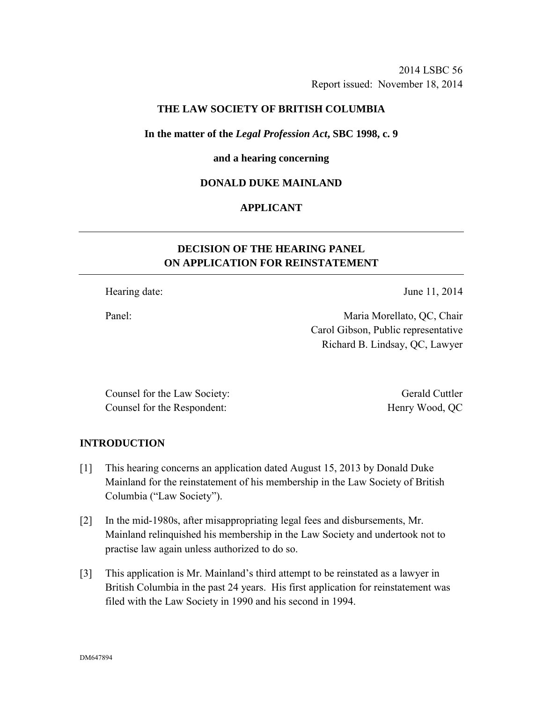### **THE LAW SOCIETY OF BRITISH COLUMBIA**

#### **In the matter of the** *Legal Profession Act***, SBC 1998, c. 9**

#### **and a hearing concerning**

#### **DONALD DUKE MAINLAND**

### **APPLICANT**

## **DECISION OF THE HEARING PANEL ON APPLICATION FOR REINSTATEMENT**

Hearing date: June 11, 2014

Panel: Maria Morellato, QC, Chair Carol Gibson, Public representative Richard B. Lindsay, QC, Lawyer

Counsel for the Law Society: Gerald Cuttler Counsel for the Respondent: Henry Wood, QC

### **INTRODUCTION**

- [1] This hearing concerns an application dated August 15, 2013 by Donald Duke Mainland for the reinstatement of his membership in the Law Society of British Columbia ("Law Society").
- [2] In the mid-1980s, after misappropriating legal fees and disbursements, Mr. Mainland relinquished his membership in the Law Society and undertook not to practise law again unless authorized to do so.
- [3] This application is Mr. Mainland's third attempt to be reinstated as a lawyer in British Columbia in the past 24 years. His first application for reinstatement was filed with the Law Society in 1990 and his second in 1994.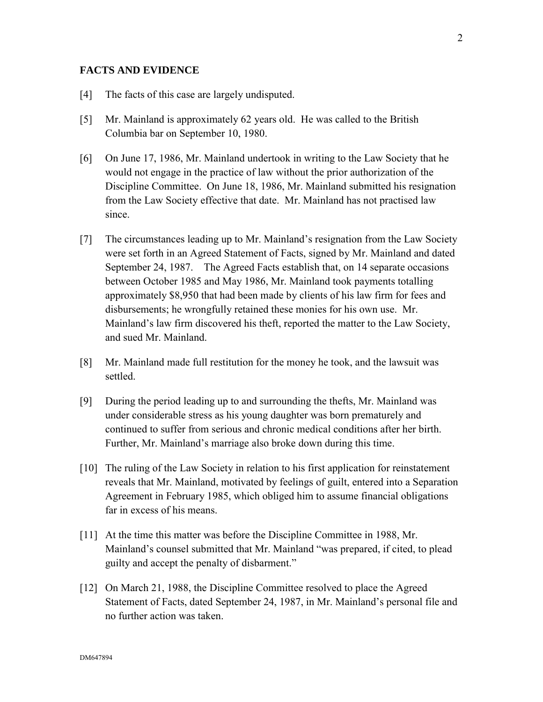#### **FACTS AND EVIDENCE**

- [4] The facts of this case are largely undisputed.
- [5] Mr. Mainland is approximately 62 years old. He was called to the British Columbia bar on September 10, 1980.
- [6] On June 17, 1986, Mr. Mainland undertook in writing to the Law Society that he would not engage in the practice of law without the prior authorization of the Discipline Committee. On June 18, 1986, Mr. Mainland submitted his resignation from the Law Society effective that date. Mr. Mainland has not practised law since.
- [7] The circumstances leading up to Mr. Mainland's resignation from the Law Society were set forth in an Agreed Statement of Facts, signed by Mr. Mainland and dated September 24, 1987. The Agreed Facts establish that, on 14 separate occasions between October 1985 and May 1986, Mr. Mainland took payments totalling approximately \$8,950 that had been made by clients of his law firm for fees and disbursements; he wrongfully retained these monies for his own use. Mr. Mainland's law firm discovered his theft, reported the matter to the Law Society, and sued Mr. Mainland.
- [8] Mr. Mainland made full restitution for the money he took, and the lawsuit was settled.
- [9] During the period leading up to and surrounding the thefts, Mr. Mainland was under considerable stress as his young daughter was born prematurely and continued to suffer from serious and chronic medical conditions after her birth. Further, Mr. Mainland's marriage also broke down during this time.
- [10] The ruling of the Law Society in relation to his first application for reinstatement reveals that Mr. Mainland, motivated by feelings of guilt, entered into a Separation Agreement in February 1985, which obliged him to assume financial obligations far in excess of his means.
- [11] At the time this matter was before the Discipline Committee in 1988, Mr. Mainland's counsel submitted that Mr. Mainland "was prepared, if cited, to plead guilty and accept the penalty of disbarment."
- [12] On March 21, 1988, the Discipline Committee resolved to place the Agreed Statement of Facts, dated September 24, 1987, in Mr. Mainland's personal file and no further action was taken.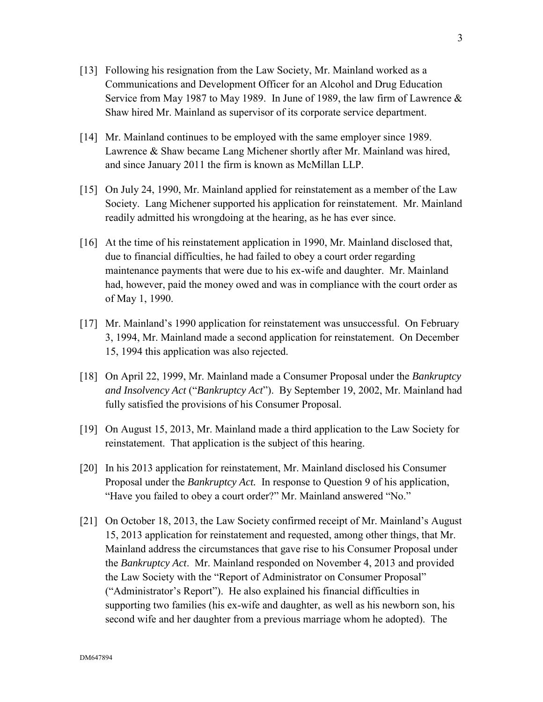- [13] Following his resignation from the Law Society, Mr. Mainland worked as a Communications and Development Officer for an Alcohol and Drug Education Service from May 1987 to May 1989. In June of 1989, the law firm of Lawrence & Shaw hired Mr. Mainland as supervisor of its corporate service department.
- [14] Mr. Mainland continues to be employed with the same employer since 1989. Lawrence & Shaw became Lang Michener shortly after Mr. Mainland was hired, and since January 2011 the firm is known as McMillan LLP.
- [15] On July 24, 1990, Mr. Mainland applied for reinstatement as a member of the Law Society. Lang Michener supported his application for reinstatement. Mr. Mainland readily admitted his wrongdoing at the hearing, as he has ever since.
- [16] At the time of his reinstatement application in 1990, Mr. Mainland disclosed that, due to financial difficulties, he had failed to obey a court order regarding maintenance payments that were due to his ex-wife and daughter. Mr. Mainland had, however, paid the money owed and was in compliance with the court order as of May 1, 1990.
- [17] Mr. Mainland's 1990 application for reinstatement was unsuccessful. On February 3, 1994, Mr. Mainland made a second application for reinstatement. On December 15, 1994 this application was also rejected.
- [18] On April 22, 1999, Mr. Mainland made a Consumer Proposal under the *Bankruptcy and Insolvency Act* ("*Bankruptcy Act*"). By September 19, 2002, Mr. Mainland had fully satisfied the provisions of his Consumer Proposal.
- [19] On August 15, 2013, Mr. Mainland made a third application to the Law Society for reinstatement. That application is the subject of this hearing.
- [20] In his 2013 application for reinstatement, Mr. Mainland disclosed his Consumer Proposal under the *Bankruptcy Act.* In response to Question 9 of his application, "Have you failed to obey a court order?" Mr. Mainland answered "No."
- [21] On October 18, 2013, the Law Society confirmed receipt of Mr. Mainland's August 15, 2013 application for reinstatement and requested, among other things, that Mr. Mainland address the circumstances that gave rise to his Consumer Proposal under the *Bankruptcy Act*.Mr. Mainland responded on November 4, 2013 and provided the Law Society with the "Report of Administrator on Consumer Proposal" ("Administrator's Report"). He also explained his financial difficulties in supporting two families (his ex-wife and daughter, as well as his newborn son, his second wife and her daughter from a previous marriage whom he adopted). The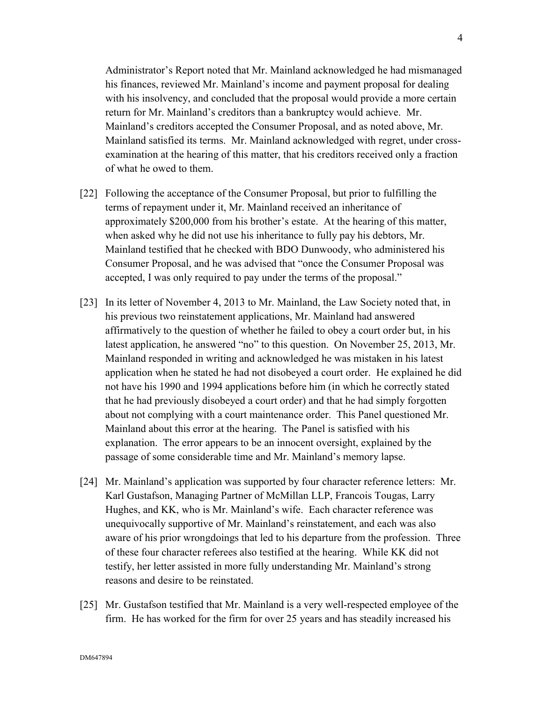Administrator's Report noted that Mr. Mainland acknowledged he had mismanaged his finances, reviewed Mr. Mainland's income and payment proposal for dealing with his insolvency, and concluded that the proposal would provide a more certain return for Mr. Mainland's creditors than a bankruptcy would achieve. Mr. Mainland's creditors accepted the Consumer Proposal, and as noted above, Mr. Mainland satisfied its terms. Mr. Mainland acknowledged with regret, under crossexamination at the hearing of this matter, that his creditors received only a fraction of what he owed to them.

- [22] Following the acceptance of the Consumer Proposal, but prior to fulfilling the terms of repayment under it, Mr. Mainland received an inheritance of approximately \$200,000 from his brother's estate. At the hearing of this matter, when asked why he did not use his inheritance to fully pay his debtors, Mr. Mainland testified that he checked with BDO Dunwoody, who administered his Consumer Proposal, and he was advised that "once the Consumer Proposal was accepted, I was only required to pay under the terms of the proposal."
- [23] In its letter of November 4, 2013 to Mr. Mainland, the Law Society noted that, in his previous two reinstatement applications, Mr. Mainland had answered affirmatively to the question of whether he failed to obey a court order but, in his latest application, he answered "no" to this question. On November 25, 2013, Mr. Mainland responded in writing and acknowledged he was mistaken in his latest application when he stated he had not disobeyed a court order. He explained he did not have his 1990 and 1994 applications before him (in which he correctly stated that he had previously disobeyed a court order) and that he had simply forgotten about not complying with a court maintenance order. This Panel questioned Mr. Mainland about this error at the hearing. The Panel is satisfied with his explanation. The error appears to be an innocent oversight, explained by the passage of some considerable time and Mr. Mainland's memory lapse.
- [24] Mr. Mainland's application was supported by four character reference letters: Mr. Karl Gustafson, Managing Partner of McMillan LLP, Francois Tougas, Larry Hughes, and KK, who is Mr. Mainland's wife. Each character reference was unequivocally supportive of Mr. Mainland's reinstatement, and each was also aware of his prior wrongdoings that led to his departure from the profession. Three of these four character referees also testified at the hearing. While KK did not testify, her letter assisted in more fully understanding Mr. Mainland's strong reasons and desire to be reinstated.
- [25] Mr. Gustafson testified that Mr. Mainland is a very well-respected employee of the firm. He has worked for the firm for over 25 years and has steadily increased his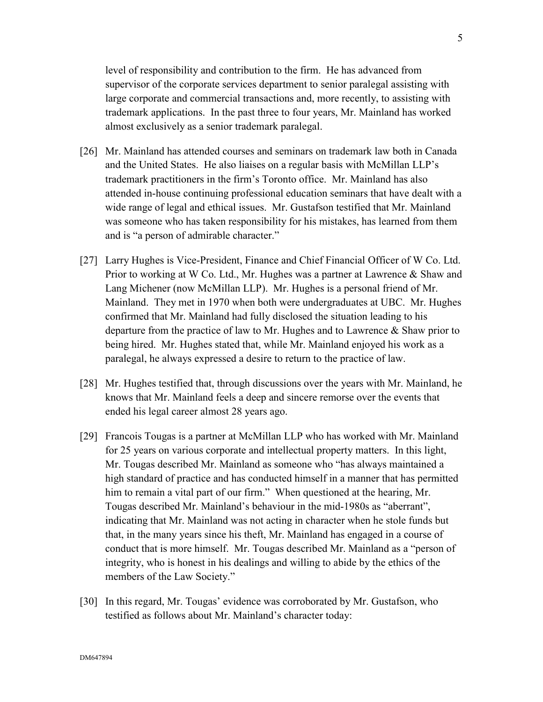level of responsibility and contribution to the firm. He has advanced from supervisor of the corporate services department to senior paralegal assisting with large corporate and commercial transactions and, more recently, to assisting with trademark applications. In the past three to four years, Mr. Mainland has worked almost exclusively as a senior trademark paralegal.

- [26] Mr. Mainland has attended courses and seminars on trademark law both in Canada and the United States. He also liaises on a regular basis with McMillan LLP's trademark practitioners in the firm's Toronto office. Mr. Mainland has also attended in-house continuing professional education seminars that have dealt with a wide range of legal and ethical issues. Mr. Gustafson testified that Mr. Mainland was someone who has taken responsibility for his mistakes, has learned from them and is "a person of admirable character."
- [27] Larry Hughes is Vice-President, Finance and Chief Financial Officer of W Co. Ltd. Prior to working at W Co. Ltd., Mr. Hughes was a partner at Lawrence & Shaw and Lang Michener (now McMillan LLP). Mr. Hughes is a personal friend of Mr. Mainland. They met in 1970 when both were undergraduates at UBC. Mr. Hughes confirmed that Mr. Mainland had fully disclosed the situation leading to his departure from the practice of law to Mr. Hughes and to Lawrence  $\&$  Shaw prior to being hired. Mr. Hughes stated that, while Mr. Mainland enjoyed his work as a paralegal, he always expressed a desire to return to the practice of law.
- [28] Mr. Hughes testified that, through discussions over the years with Mr. Mainland, he knows that Mr. Mainland feels a deep and sincere remorse over the events that ended his legal career almost 28 years ago.
- [29] Francois Tougas is a partner at McMillan LLP who has worked with Mr. Mainland for 25 years on various corporate and intellectual property matters. In this light, Mr. Tougas described Mr. Mainland as someone who "has always maintained a high standard of practice and has conducted himself in a manner that has permitted him to remain a vital part of our firm." When questioned at the hearing, Mr. Tougas described Mr. Mainland's behaviour in the mid-1980s as "aberrant", indicating that Mr. Mainland was not acting in character when he stole funds but that, in the many years since his theft, Mr. Mainland has engaged in a course of conduct that is more himself. Mr. Tougas described Mr. Mainland as a "person of integrity, who is honest in his dealings and willing to abide by the ethics of the members of the Law Society."
- [30] In this regard, Mr. Tougas' evidence was corroborated by Mr. Gustafson, who testified as follows about Mr. Mainland's character today: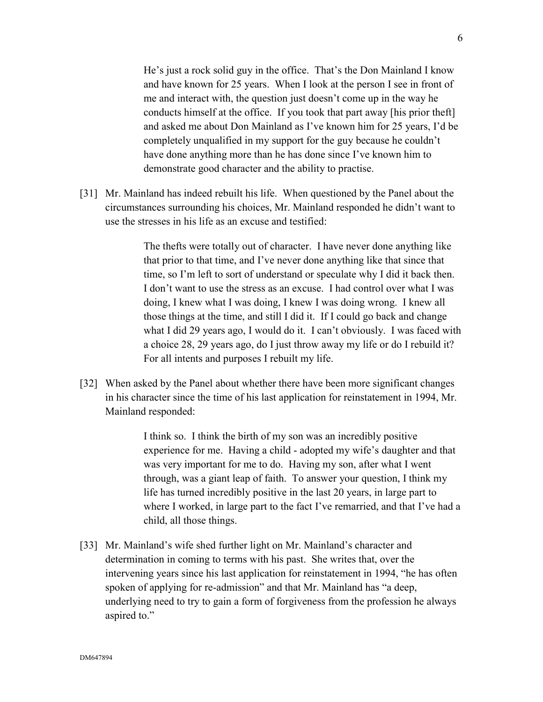He's just a rock solid guy in the office. That's the Don Mainland I know and have known for 25 years. When I look at the person I see in front of me and interact with, the question just doesn't come up in the way he conducts himself at the office. If you took that part away [his prior theft] and asked me about Don Mainland as I've known him for 25 years, I'd be completely unqualified in my support for the guy because he couldn't have done anything more than he has done since I've known him to demonstrate good character and the ability to practise.

[31] Mr. Mainland has indeed rebuilt his life. When questioned by the Panel about the circumstances surrounding his choices, Mr. Mainland responded he didn't want to use the stresses in his life as an excuse and testified:

> The thefts were totally out of character. I have never done anything like that prior to that time, and I've never done anything like that since that time, so I'm left to sort of understand or speculate why I did it back then. I don't want to use the stress as an excuse. I had control over what I was doing, I knew what I was doing, I knew I was doing wrong. I knew all those things at the time, and still I did it. If I could go back and change what I did 29 years ago, I would do it. I can't obviously. I was faced with a choice 28, 29 years ago, do I just throw away my life or do I rebuild it? For all intents and purposes I rebuilt my life.

[32] When asked by the Panel about whether there have been more significant changes in his character since the time of his last application for reinstatement in 1994, Mr. Mainland responded:

> I think so. I think the birth of my son was an incredibly positive experience for me. Having a child - adopted my wife's daughter and that was very important for me to do. Having my son, after what I went through, was a giant leap of faith. To answer your question, I think my life has turned incredibly positive in the last 20 years, in large part to where I worked, in large part to the fact I've remarried, and that I've had a child, all those things.

[33] Mr. Mainland's wife shed further light on Mr. Mainland's character and determination in coming to terms with his past. She writes that, over the intervening years since his last application for reinstatement in 1994, "he has often spoken of applying for re-admission" and that Mr. Mainland has "a deep, underlying need to try to gain a form of forgiveness from the profession he always aspired to."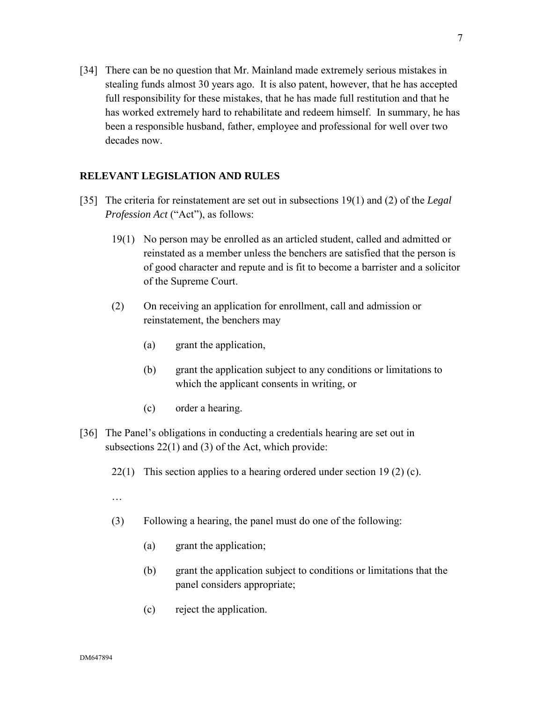[34] There can be no question that Mr. Mainland made extremely serious mistakes in stealing funds almost 30 years ago. It is also patent, however, that he has accepted full responsibility for these mistakes, that he has made full restitution and that he has worked extremely hard to rehabilitate and redeem himself. In summary, he has been a responsible husband, father, employee and professional for well over two decades now.

#### **RELEVANT LEGISLATION AND RULES**

- [35] The criteria for reinstatement are set out in subsections 19(1) and (2) of the *Legal Profession Act* ("Act"), as follows:
	- 19(1) No person may be enrolled as an articled student, called and admitted or reinstated as a member unless the benchers are satisfied that the person is of good character and repute and is fit to become a barrister and a solicitor of the Supreme Court.
	- (2) On receiving an application for enrollment, call and admission or reinstatement, the benchers may
		- (a) grant the application,
		- (b) grant the application subject to any conditions or limitations to which the applicant consents in writing, or
		- (c) order a hearing.
- [36] The Panel's obligations in conducting a credentials hearing are set out in subsections 22(1) and (3) of the Act, which provide:
	- 22(1) This section applies to a hearing ordered under section 19 (2) (c).
	- …
	- (3) Following a hearing, the panel must do one of the following:
		- (a) grant the application;
		- (b) grant the application subject to conditions or limitations that the panel considers appropriate;
		- (c) reject the application.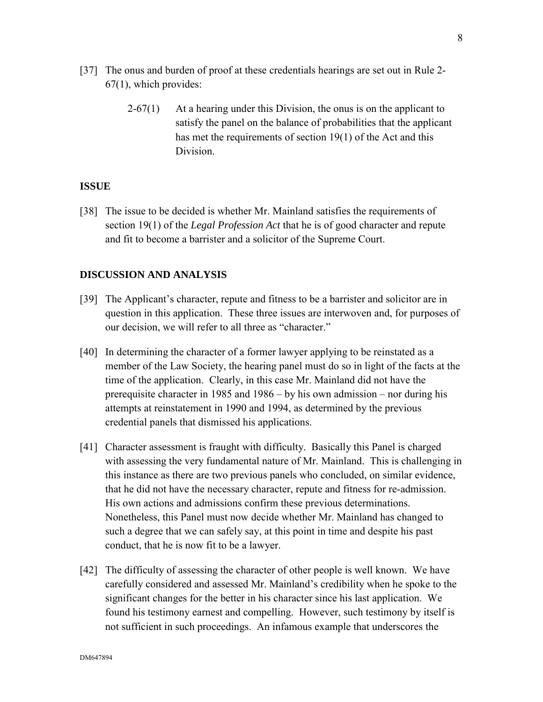- [37] The onus and burden of proof at these credentials hearings are set out in Rule 2- 67(1), which provides:
	- $2-67(1)$  At a hearing under this Division, the onus is on the applicant to satisfy the panel on the balance of probabilities that the applicant has met the requirements of section 19(1) of the Act and this Division.

### **ISSUE**

[38] The issue to be decided is whether Mr. Mainland satisfies the requirements of section 19(1) of the *Legal Profession Act* that he is of good character and repute and fit to become a barrister and a solicitor of the Supreme Court.

#### **DISCUSSION AND ANALYSIS**

- [39] The Applicant's character, repute and fitness to be a barrister and solicitor are in question in this application. These three issues are interwoven and, for purposes of our decision, we will refer to all three as "character."
- [40] In determining the character of a former lawyer applying to be reinstated as a member of the Law Society, the hearing panel must do so in light of the facts at the time of the application. Clearly, in this case Mr. Mainland did not have the prerequisite character in 1985 and 1986 – by his own admission – nor during his attempts at reinstatement in 1990 and 1994, as determined by the previous credential panels that dismissed his applications.
- [41] Character assessment is fraught with difficulty. Basically this Panel is charged with assessing the very fundamental nature of Mr. Mainland. This is challenging in this instance as there are two previous panels who concluded, on similar evidence, that he did not have the necessary character, repute and fitness for re-admission. His own actions and admissions confirm these previous determinations. Nonetheless, this Panel must now decide whether Mr. Mainland has changed to such a degree that we can safely say, at this point in time and despite his past conduct, that he is now fit to be a lawyer.
- [42] The difficulty of assessing the character of other people is well known. We have carefully considered and assessed Mr. Mainland's credibility when he spoke to the significant changes for the better in his character since his last application. We found his testimony earnest and compelling. However, such testimony by itself is not sufficient in such proceedings. An infamous example that underscores the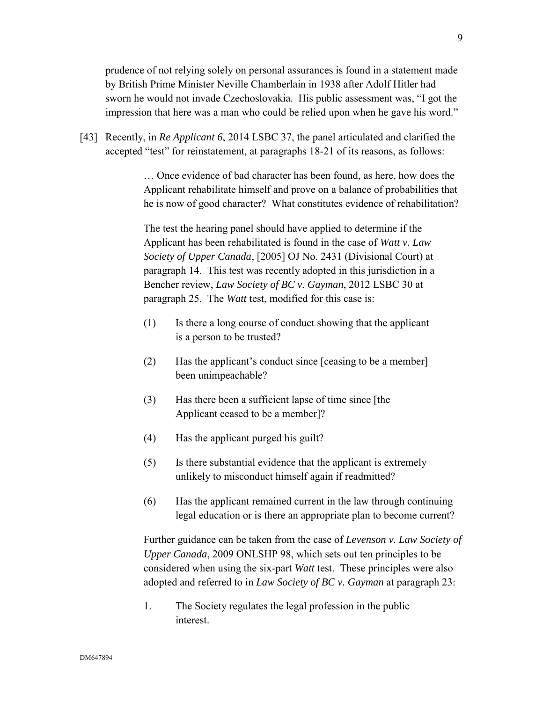prudence of not relying solely on personal assurances is found in a statement made by British Prime Minister Neville Chamberlain in 1938 after Adolf Hitler had sworn he would not invade Czechoslovakia. His public assessment was, "I got the impression that here was a man who could be relied upon when he gave his word."

[43] Recently, in *Re Applicant 6*, 2014 LSBC 37, the panel articulated and clarified the accepted "test" for reinstatement, at paragraphs 18-21 of its reasons, as follows:

> … Once evidence of bad character has been found, as here, how does the Applicant rehabilitate himself and prove on a balance of probabilities that he is now of good character? What constitutes evidence of rehabilitation?

The test the hearing panel should have applied to determine if the Applicant has been rehabilitated is found in the case of *Watt v. Law Society of Upper Canada*, [2005] OJ No. 2431 (Divisional Court) at paragraph 14. This test was recently adopted in this jurisdiction in a Bencher review, *Law Society of BC v. Gayman*, 2012 LSBC 30 at paragraph 25. The *Watt* test, modified for this case is:

- (1) Is there a long course of conduct showing that the applicant is a person to be trusted?
- (2) Has the applicant's conduct since [ceasing to be a member] been unimpeachable?
- (3) Has there been a sufficient lapse of time since [the Applicant ceased to be a member]?
- (4) Has the applicant purged his guilt?
- (5) Is there substantial evidence that the applicant is extremely unlikely to misconduct himself again if readmitted?
- (6) Has the applicant remained current in the law through continuing legal education or is there an appropriate plan to become current?

Further guidance can be taken from the case of *Levenson v. Law Society of Upper Canada*, 2009 ONLSHP 98, which sets out ten principles to be considered when using the six-part *Watt* test. These principles were also adopted and referred to in *Law Society of BC v. Gayman* at paragraph 23:

1. The Society regulates the legal profession in the public interest.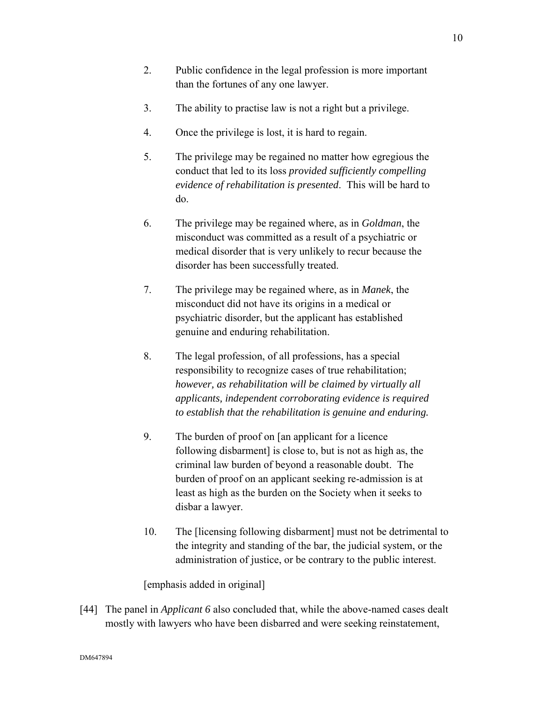- 2. Public confidence in the legal profession is more important than the fortunes of any one lawyer.
- 3. The ability to practise law is not a right but a privilege.
- 4. Once the privilege is lost, it is hard to regain.
- 5. The privilege may be regained no matter how egregious the conduct that led to its loss *provided sufficiently compelling evidence of rehabilitation is presented*. This will be hard to do.
- 6. The privilege may be regained where, as in *Goldman*, the misconduct was committed as a result of a psychiatric or medical disorder that is very unlikely to recur because the disorder has been successfully treated.
- 7. The privilege may be regained where, as in *Manek*, the misconduct did not have its origins in a medical or psychiatric disorder, but the applicant has established genuine and enduring rehabilitation.
- 8. The legal profession, of all professions, has a special responsibility to recognize cases of true rehabilitation; *however, as rehabilitation will be claimed by virtually all applicants, independent corroborating evidence is required to establish that the rehabilitation is genuine and enduring.*
- 9. The burden of proof on [an applicant for a licence following disbarment] is close to, but is not as high as, the criminal law burden of beyond a reasonable doubt. The burden of proof on an applicant seeking re-admission is at least as high as the burden on the Society when it seeks to disbar a lawyer.
- 10. The [licensing following disbarment] must not be detrimental to the integrity and standing of the bar, the judicial system, or the administration of justice, or be contrary to the public interest.

[emphasis added in original]

[44] The panel in *Applicant* 6 also concluded that, while the above-named cases dealt mostly with lawyers who have been disbarred and were seeking reinstatement,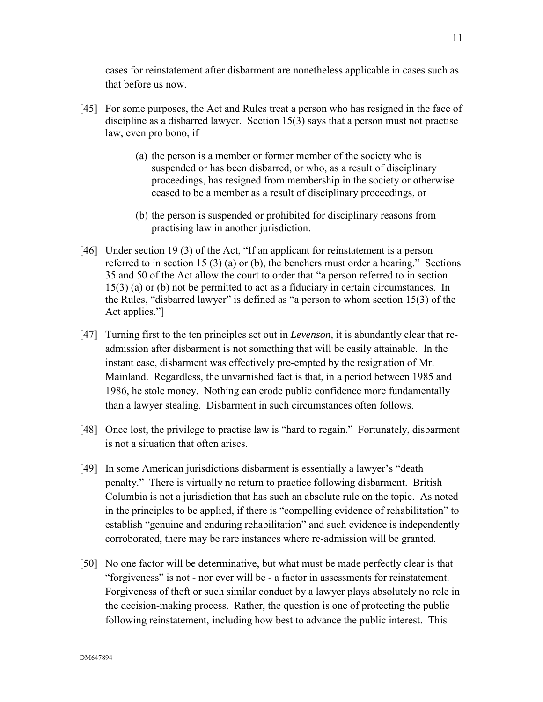cases for reinstatement after disbarment are nonetheless applicable in cases such as that before us now.

- [45] For some purposes, the Act and Rules treat a person who has resigned in the face of discipline as a disbarred lawyer. Section 15(3) says that a person must not practise law, even pro bono, if
	- (a) the person is a member or former member of the society who is suspended or has been disbarred, or who, as a result of disciplinary proceedings, has resigned from membership in the society or otherwise ceased to be a member as a result of disciplinary proceedings, or
	- (b) the person is suspended or prohibited for disciplinary reasons from practising law in another jurisdiction.
- [46] Under section 19 (3) of the Act, "If an applicant for reinstatement is a person referred to in section 15 (3) (a) or (b), the benchers must order a hearing." Sections 35 and 50 of the Act allow the court to order that "a person referred to in section 15(3) (a) or (b) not be permitted to act as a fiduciary in certain circumstances. In the Rules, "disbarred lawyer" is defined as "a person to whom section 15(3) of the Act applies."]
- [47] Turning first to the ten principles set out in *Levenson,* it is abundantly clear that readmission after disbarment is not something that will be easily attainable. In the instant case, disbarment was effectively pre-empted by the resignation of Mr. Mainland. Regardless, the unvarnished fact is that, in a period between 1985 and 1986, he stole money. Nothing can erode public confidence more fundamentally than a lawyer stealing. Disbarment in such circumstances often follows.
- [48] Once lost, the privilege to practise law is "hard to regain." Fortunately, disbarment is not a situation that often arises.
- [49] In some American jurisdictions disbarment is essentially a lawyer's "death penalty." There is virtually no return to practice following disbarment. British Columbia is not a jurisdiction that has such an absolute rule on the topic. As noted in the principles to be applied, if there is "compelling evidence of rehabilitation" to establish "genuine and enduring rehabilitation" and such evidence is independently corroborated, there may be rare instances where re-admission will be granted.
- [50] No one factor will be determinative, but what must be made perfectly clear is that "forgiveness" is not - nor ever will be - a factor in assessments for reinstatement. Forgiveness of theft or such similar conduct by a lawyer plays absolutely no role in the decision-making process. Rather, the question is one of protecting the public following reinstatement, including how best to advance the public interest. This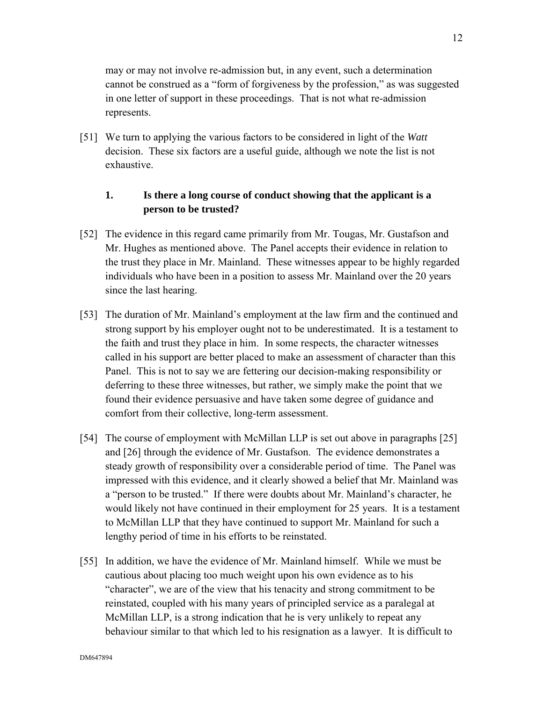may or may not involve re-admission but, in any event, such a determination cannot be construed as a "form of forgiveness by the profession," as was suggested in one letter of support in these proceedings. That is not what re-admission represents.

[51] We turn to applying the various factors to be considered in light of the *Watt* decision. These six factors are a useful guide, although we note the list is not exhaustive.

### **1. Is there a long course of conduct showing that the applicant is a person to be trusted?**

- [52] The evidence in this regard came primarily from Mr. Tougas, Mr. Gustafson and Mr. Hughes as mentioned above. The Panel accepts their evidence in relation to the trust they place in Mr. Mainland. These witnesses appear to be highly regarded individuals who have been in a position to assess Mr. Mainland over the 20 years since the last hearing.
- [53] The duration of Mr. Mainland's employment at the law firm and the continued and strong support by his employer ought not to be underestimated. It is a testament to the faith and trust they place in him. In some respects, the character witnesses called in his support are better placed to make an assessment of character than this Panel. This is not to say we are fettering our decision-making responsibility or deferring to these three witnesses, but rather, we simply make the point that we found their evidence persuasive and have taken some degree of guidance and comfort from their collective, long-term assessment.
- [54] The course of employment with McMillan LLP is set out above in paragraphs [25] and [26] through the evidence of Mr. Gustafson. The evidence demonstrates a steady growth of responsibility over a considerable period of time. The Panel was impressed with this evidence, and it clearly showed a belief that Mr. Mainland was a "person to be trusted." If there were doubts about Mr. Mainland's character, he would likely not have continued in their employment for 25 years. It is a testament to McMillan LLP that they have continued to support Mr. Mainland for such a lengthy period of time in his efforts to be reinstated.
- [55] In addition, we have the evidence of Mr. Mainland himself. While we must be cautious about placing too much weight upon his own evidence as to his "character", we are of the view that his tenacity and strong commitment to be reinstated, coupled with his many years of principled service as a paralegal at McMillan LLP, is a strong indication that he is very unlikely to repeat any behaviour similar to that which led to his resignation as a lawyer. It is difficult to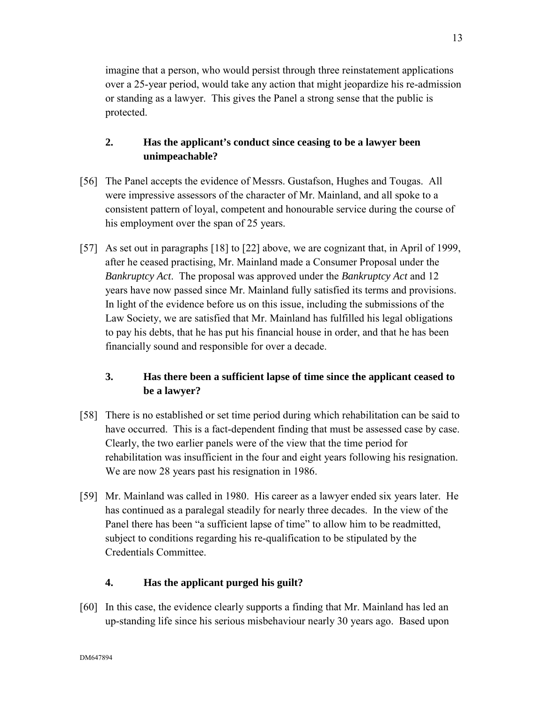imagine that a person, who would persist through three reinstatement applications over a 25-year period, would take any action that might jeopardize his re-admission or standing as a lawyer. This gives the Panel a strong sense that the public is protected.

## **2. Has the applicant's conduct since ceasing to be a lawyer been unimpeachable?**

- [56] The Panel accepts the evidence of Messrs. Gustafson, Hughes and Tougas. All were impressive assessors of the character of Mr. Mainland, and all spoke to a consistent pattern of loyal, competent and honourable service during the course of his employment over the span of 25 years.
- [57] As set out in paragraphs [18] to [22] above, we are cognizant that, in April of 1999, after he ceased practising, Mr. Mainland made a Consumer Proposal under the *Bankruptcy Act*. The proposal was approved under the *Bankruptcy Act* and 12 years have now passed since Mr. Mainland fully satisfied its terms and provisions. In light of the evidence before us on this issue, including the submissions of the Law Society, we are satisfied that Mr. Mainland has fulfilled his legal obligations to pay his debts, that he has put his financial house in order, and that he has been financially sound and responsible for over a decade.

## **3. Has there been a sufficient lapse of time since the applicant ceased to be a lawyer?**

- [58] There is no established or set time period during which rehabilitation can be said to have occurred. This is a fact-dependent finding that must be assessed case by case. Clearly, the two earlier panels were of the view that the time period for rehabilitation was insufficient in the four and eight years following his resignation. We are now 28 years past his resignation in 1986.
- [59] Mr. Mainland was called in 1980. His career as a lawyer ended six years later. He has continued as a paralegal steadily for nearly three decades. In the view of the Panel there has been "a sufficient lapse of time" to allow him to be readmitted, subject to conditions regarding his re-qualification to be stipulated by the Credentials Committee.

## **4. Has the applicant purged his guilt?**

[60] In this case, the evidence clearly supports a finding that Mr. Mainland has led an up-standing life since his serious misbehaviour nearly 30 years ago. Based upon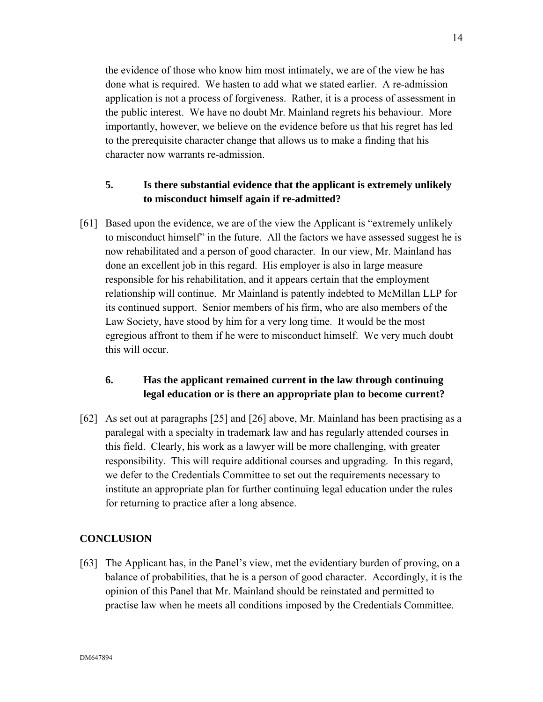the evidence of those who know him most intimately, we are of the view he has done what is required. We hasten to add what we stated earlier. A re-admission application is not a process of forgiveness. Rather, it is a process of assessment in the public interest. We have no doubt Mr. Mainland regrets his behaviour. More importantly, however, we believe on the evidence before us that his regret has led to the prerequisite character change that allows us to make a finding that his character now warrants re-admission.

## **5. Is there substantial evidence that the applicant is extremely unlikely to misconduct himself again if re-admitted?**

[61] Based upon the evidence, we are of the view the Applicant is "extremely unlikely to misconduct himself" in the future. All the factors we have assessed suggest he is now rehabilitated and a person of good character. In our view, Mr. Mainland has done an excellent job in this regard. His employer is also in large measure responsible for his rehabilitation, and it appears certain that the employment relationship will continue. Mr Mainland is patently indebted to McMillan LLP for its continued support. Senior members of his firm, who are also members of the Law Society, have stood by him for a very long time. It would be the most egregious affront to them if he were to misconduct himself. We very much doubt this will occur.

## **6. Has the applicant remained current in the law through continuing legal education or is there an appropriate plan to become current?**

[62] As set out at paragraphs [25] and [26] above, Mr. Mainland has been practising as a paralegal with a specialty in trademark law and has regularly attended courses in this field. Clearly, his work as a lawyer will be more challenging, with greater responsibility. This will require additional courses and upgrading. In this regard, we defer to the Credentials Committee to set out the requirements necessary to institute an appropriate plan for further continuing legal education under the rules for returning to practice after a long absence.

## **CONCLUSION**

[63] The Applicant has, in the Panel's view, met the evidentiary burden of proving, on a balance of probabilities, that he is a person of good character. Accordingly, it is the opinion of this Panel that Mr. Mainland should be reinstated and permitted to practise law when he meets all conditions imposed by the Credentials Committee.